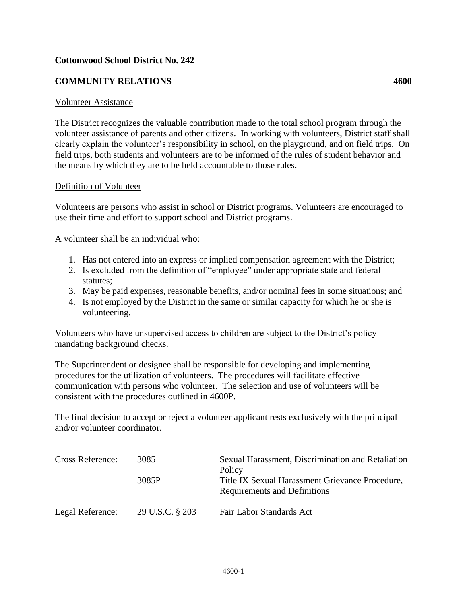## **Cottonwood School District No. 242**

## **COMMUNITY RELATIONS 4600**

## Volunteer Assistance

The District recognizes the valuable contribution made to the total school program through the volunteer assistance of parents and other citizens. In working with volunteers, District staff shall clearly explain the volunteer's responsibility in school, on the playground, and on field trips. On field trips, both students and volunteers are to be informed of the rules of student behavior and the means by which they are to be held accountable to those rules.

## Definition of Volunteer

Volunteers are persons who assist in school or District programs. Volunteers are encouraged to use their time and effort to support school and District programs.

A volunteer shall be an individual who:

- 1. Has not entered into an express or implied compensation agreement with the District;
- 2. Is excluded from the definition of "employee" under appropriate state and federal statutes;
- 3. May be paid expenses, reasonable benefits, and/or nominal fees in some situations; and
- 4. Is not employed by the District in the same or similar capacity for which he or she is volunteering.

Volunteers who have unsupervised access to children are subject to the District's policy mandating background checks.

The Superintendent or designee shall be responsible for developing and implementing procedures for the utilization of volunteers. The procedures will facilitate effective communication with persons who volunteer. The selection and use of volunteers will be consistent with the procedures outlined in 4600P.

The final decision to accept or reject a volunteer applicant rests exclusively with the principal and/or volunteer coordinator.

| <b>Cross Reference:</b> | 3085<br>3085P   | Sexual Harassment, Discrimination and Retaliation<br>Policy<br>Title IX Sexual Harassment Grievance Procedure,<br><b>Requirements and Definitions</b> |
|-------------------------|-----------------|-------------------------------------------------------------------------------------------------------------------------------------------------------|
| Legal Reference:        | 29 U.S.C. § 203 | Fair Labor Standards Act                                                                                                                              |